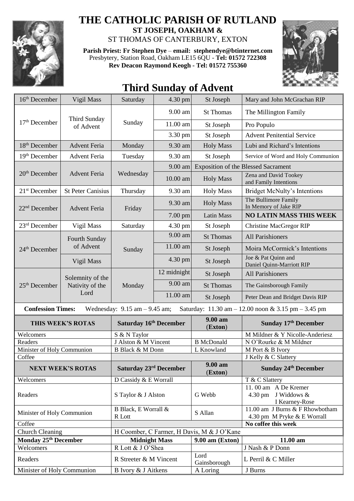

## **THE CATHOLIC PARISH OF RUTLAND**

**ST JOSEPH, OAKHAM &**  ST THOMAS OF CANTERBURY, EXTON

**Parish Priest: Fr Stephen Dye** – **[email: stephendye@btinternet.com](mailto:email:%20%20stephendye@btinternet.com)** Presbytery, Station Road, Oakham LE15 6QU - **Tel: 01572 722308 Rev Deacon Raymond Keogh - Tel: 01572 755360**



## **Third Sunday of Advent**

| 16 <sup>th</sup> December                                                                                           | Vigil Mass                                  | Saturday                                            | 4.30 pm     | St Joseph             | Mary and John McGrachan RIP                                                 |  |
|---------------------------------------------------------------------------------------------------------------------|---------------------------------------------|-----------------------------------------------------|-------------|-----------------------|-----------------------------------------------------------------------------|--|
| $17th$ December                                                                                                     | <b>Third Sunday</b><br>of Advent            | Sunday                                              | 9.00 am     | <b>St Thomas</b>      | The Millington Family                                                       |  |
|                                                                                                                     |                                             |                                                     | 11.00 am    | St Joseph             | Pro Populo                                                                  |  |
|                                                                                                                     |                                             |                                                     | 3.30 pm     | St Joseph             | <b>Advent Penitential Service</b>                                           |  |
| 18 <sup>th</sup> December                                                                                           | <b>Advent Feria</b>                         | Monday                                              | 9.30 am     | <b>Holy Mass</b>      | Lubi and Richard's Intentions                                               |  |
| 19 <sup>th</sup> December                                                                                           | <b>Advent Feria</b>                         | Tuesday                                             | 9.30 am     | St Joseph             | Service of Word and Holy Communion                                          |  |
| $20th$ December                                                                                                     | <b>Advent Feria</b>                         | Wednesday                                           | 9.00 am     |                       | <b>Exposition of the Blessed Sacrament</b>                                  |  |
|                                                                                                                     |                                             |                                                     | 10.00 am    | <b>Holy Mass</b>      | Zena and David Tookey<br>and Family Intentions                              |  |
| $21st$ December                                                                                                     | <b>St Peter Canisius</b>                    | Thursday                                            | 9.30 am     | <b>Holy Mass</b>      | <b>Bridget McNulty's Intentions</b>                                         |  |
| 22 <sup>nd</sup> December                                                                                           | <b>Advent Feria</b>                         | Friday                                              | 9.30 am     | <b>Holy Mass</b>      | The Bullimore Family<br>In Memory of Jake RIP                               |  |
|                                                                                                                     |                                             |                                                     | 7.00 pm     | <b>Latin Mass</b>     | <b>NO LATIN MASS THIS WEEK</b>                                              |  |
| $23rd$ December                                                                                                     | Vigil Mass                                  | Saturday                                            | 4.30 pm     | St Joseph             | <b>Christine MacGregor RIP</b>                                              |  |
| 24 <sup>th</sup> December                                                                                           | Fourth Sunday<br>of Advent                  | Sunday                                              | 9.00 am     | <b>St Thomas</b>      | All Parishioners                                                            |  |
|                                                                                                                     |                                             |                                                     | 11.00 am    | St Joseph             | Moira McCormick's Intentions                                                |  |
|                                                                                                                     | Vigil Mass                                  |                                                     | 4.30 pm     | St Joseph             | Joe & Pat Quinn and<br>Daniel Quinn-Marriott RIP                            |  |
| $25th$ December                                                                                                     | Solemnity of the<br>Nativity of the<br>Lord | Monday                                              | 12 midnight | St Joseph             | <b>All Parishioners</b>                                                     |  |
|                                                                                                                     |                                             |                                                     | 9.00 am     | <b>St Thomas</b>      | The Gainsborough Family                                                     |  |
|                                                                                                                     |                                             |                                                     | 11.00 am    | St Joseph             | Peter Dean and Bridget Davis RIP                                            |  |
| <b>Confession Times:</b><br>Wednesday: $9.15$ am $-9.45$ am;<br>Saturday: 11.30 am - 12.00 noon & 3.15 pm - 3.45 pm |                                             |                                                     |             |                       |                                                                             |  |
| THIS WEEK'S ROTAS                                                                                                   |                                             | Saturday 16th December                              |             | 9.00 am<br>(Exton)    | Sunday 17th December                                                        |  |
| Welcomers                                                                                                           |                                             | S & N Taylor                                        |             |                       | M Mildner & Y Nicolle-Anderiesz                                             |  |
| Readers                                                                                                             |                                             | J Alston & M Vincent<br><b>B Black &amp; M Donn</b> |             | <b>B</b> McDonald     | N O'Rourke & M Mildner                                                      |  |
| Minister of Holy Communion<br>Coffee                                                                                |                                             |                                                     |             | L Knowland            | M Port & B Ivory<br>J Kelly & C Slattery                                    |  |
| <b>NEXT WEEK'S ROTAS</b>                                                                                            |                                             | <b>Saturday 23rd December</b>                       |             | $9.00 a$ m<br>(Exton) | <b>Sunday 24th December</b>                                                 |  |
| Welcomers                                                                                                           |                                             | D Cassidy & E Worrall                               |             |                       | T & C Slattery                                                              |  |
| Readers                                                                                                             |                                             | S Taylor & J Alston                                 |             | G Webb                | 11.00 am A De Kremer<br>4.30 pm J Widdows $&$<br>I Kearney-Rose             |  |
| Minister of Holy Communion                                                                                          |                                             | B Black, E Worrall &<br>R Lott                      |             | S Allan               | $\overline{11.00}$ am J Burns & F Rhowbotham<br>4.30 pm M Pryke & E Worrall |  |
| Coffee                                                                                                              |                                             |                                                     |             |                       | No coffee this week                                                         |  |
| <b>Church Cleaning</b>                                                                                              |                                             | H Coomber, C Farmer, H Davis, M & J O'Kane          |             |                       |                                                                             |  |
| Monday 25 <sup>th</sup> December                                                                                    |                                             | <b>Midnight Mass</b>                                |             | $9.00$ am (Exton)     | 11.00 am                                                                    |  |
| Welcomers                                                                                                           |                                             | R Lott & J O'Shea                                   |             |                       | J Nash & P Donn                                                             |  |
| Readers                                                                                                             |                                             | R Streeter & M Vincent                              |             | Lord<br>Gainsborough  | L Perril & C Miller                                                         |  |
| Minister of Holy Communion                                                                                          |                                             | B Ivory & J Aitkens                                 |             | A Loring              | J Burns                                                                     |  |